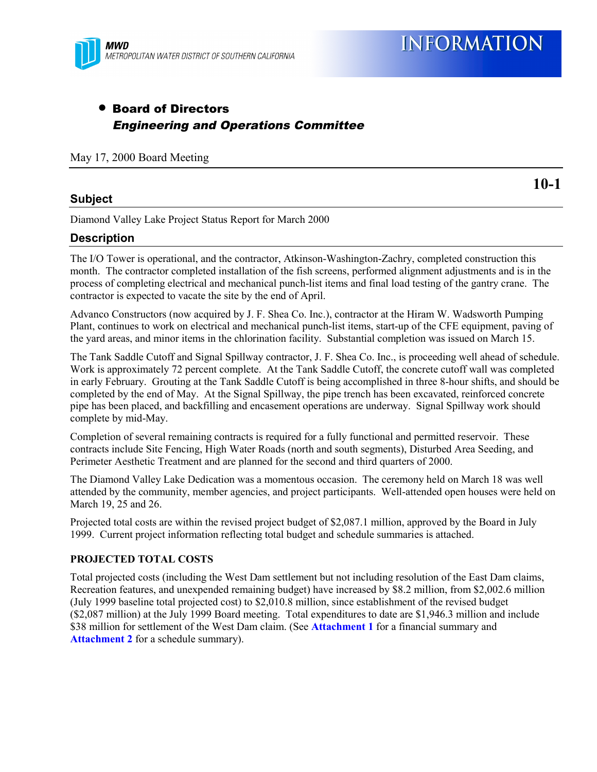

### • Board of Directors Engineering and Operations Committee

May 17, 2000 Board Meeting

#### **Subject**

**10-1**

Diamond Valley Lake Project Status Report for March 2000

#### **Description**

The I/O Tower is operational, and the contractor, Atkinson-Washington-Zachry, completed construction this month. The contractor completed installation of the fish screens, performed alignment adjustments and is in the process of completing electrical and mechanical punch-list items and final load testing of the gantry crane. The contractor is expected to vacate the site by the end of April.

Advanco Constructors (now acquired by J. F. Shea Co. Inc.), contractor at the Hiram W. Wadsworth Pumping Plant, continues to work on electrical and mechanical punch-list items, start-up of the CFE equipment, paving of the yard areas, and minor items in the chlorination facility. Substantial completion was issued on March 15.

The Tank Saddle Cutoff and Signal Spillway contractor, J. F. Shea Co. Inc., is proceeding well ahead of schedule. Work is approximately 72 percent complete. At the Tank Saddle Cutoff, the concrete cutoff wall was completed in early February. Grouting at the Tank Saddle Cutoff is being accomplished in three 8-hour shifts, and should be completed by the end of May. At the Signal Spillway, the pipe trench has been excavated, reinforced concrete pipe has been placed, and backfilling and encasement operations are underway. Signal Spillway work should complete by mid-May.

Completion of several remaining contracts is required for a fully functional and permitted reservoir. These contracts include Site Fencing, High Water Roads (north and south segments), Disturbed Area Seeding, and Perimeter Aesthetic Treatment and are planned for the second and third quarters of 2000.

The Diamond Valley Lake Dedication was a momentous occasion. The ceremony held on March 18 was well attended by the community, member agencies, and project participants. Well-attended open houses were held on March 19, 25 and 26.

Projected total costs are within the revised project budget of \$2,087.1 million, approved by the Board in July 1999. Current project information reflecting total budget and schedule summaries is attached.

#### **PROJECTED TOTAL COSTS**

Total projected costs (including the West Dam settlement but not including resolution of the East Dam claims, Recreation features, and unexpended remaining budget) have increased by \$8.2 million, from \$2,002.6 million (July 1999 baseline total projected cost) to \$2,010.8 million, since establishment of the revised budget (\$2,087 million) at the July 1999 Board meeting. Total expenditures to date are \$1,946.3 million and include \$38 million for settlement of the West Dam claim. (See **Attachment 1** for a financial summary and **Attachment 2** for a schedule summary).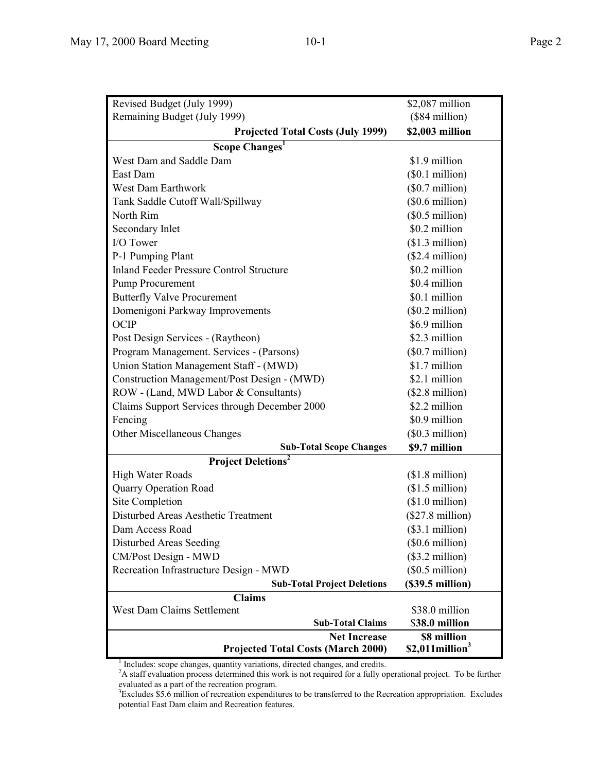| Revised Budget (July 1999)                      | \$2,087 million               |  |  |  |  |  |
|-------------------------------------------------|-------------------------------|--|--|--|--|--|
| Remaining Budget (July 1999)                    | (\$84 million)                |  |  |  |  |  |
| <b>Projected Total Costs (July 1999)</b>        | \$2,003 million               |  |  |  |  |  |
| Scope Changes <sup>1</sup>                      |                               |  |  |  |  |  |
| West Dam and Saddle Dam                         | \$1.9 million                 |  |  |  |  |  |
| East Dam                                        | (\$0.1 million)               |  |  |  |  |  |
| West Dam Earthwork                              | $($0.7 \text{ million})$      |  |  |  |  |  |
| Tank Saddle Cutoff Wall/Spillway                | $($0.6 \text{ million})$      |  |  |  |  |  |
| North Rim                                       | (\$0.5\$ million)             |  |  |  |  |  |
| Secondary Inlet                                 | \$0.2 million                 |  |  |  |  |  |
| I/O Tower                                       | $$1.3$ million)               |  |  |  |  |  |
| P-1 Pumping Plant                               | $($2.4$ million)              |  |  |  |  |  |
| <b>Inland Feeder Pressure Control Structure</b> | \$0.2 million                 |  |  |  |  |  |
| Pump Procurement                                | \$0.4 million                 |  |  |  |  |  |
| <b>Butterfly Valve Procurement</b>              | \$0.1 million                 |  |  |  |  |  |
| Domenigoni Parkway Improvements                 | $($0.2 \text{ million})$      |  |  |  |  |  |
| <b>OCIP</b>                                     | \$6.9 million                 |  |  |  |  |  |
| Post Design Services - (Raytheon)               | \$2.3 million                 |  |  |  |  |  |
| Program Management. Services - (Parsons)        | $(\$0.7$ million)             |  |  |  |  |  |
| Union Station Management Staff - (MWD)          | \$1.7 million                 |  |  |  |  |  |
| Construction Management/Post Design - (MWD)     | \$2.1 million                 |  |  |  |  |  |
| ROW - (Land, MWD Labor & Consultants)           | $($2.8 \text{ million})$      |  |  |  |  |  |
| Claims Support Services through December 2000   | \$2.2 million                 |  |  |  |  |  |
| Fencing                                         | \$0.9 million                 |  |  |  |  |  |
| Other Miscellaneous Changes                     | $($0.3$ million)              |  |  |  |  |  |
| <b>Sub-Total Scope Changes</b>                  | \$9.7 million                 |  |  |  |  |  |
| <b>Project Deletions<sup>2</sup></b>            |                               |  |  |  |  |  |
| <b>High Water Roads</b>                         | $($1.8 \text{ million})$      |  |  |  |  |  |
| <b>Quarry Operation Road</b>                    | $($1.5 \text{ million})$      |  |  |  |  |  |
| Site Completion                                 | $($1.0 \text{ million})$      |  |  |  |  |  |
| Disturbed Areas Aesthetic Treatment             | $($27.8 \text{ million})$     |  |  |  |  |  |
| Dam Access Road                                 | (\$3.1 million)               |  |  |  |  |  |
| Disturbed Areas Seeding                         | $(\$0.6$ million)             |  |  |  |  |  |
| CM/Post Design - MWD                            | $($3.2 \text{ million})$      |  |  |  |  |  |
| Recreation Infrastructure Design - MWD          | $($0.5 \text{ million})$      |  |  |  |  |  |
| <b>Sub-Total Project Deletions</b>              | (S39.5 million)               |  |  |  |  |  |
| <b>Claims</b>                                   |                               |  |  |  |  |  |
| <b>West Dam Claims Settlement</b>               | \$38.0 million                |  |  |  |  |  |
| <b>Sub-Total Claims</b>                         | \$38.0 million                |  |  |  |  |  |
| <b>Net Increase</b>                             | \$8 million                   |  |  |  |  |  |
| <b>Projected Total Costs (March 2000)</b>       | $$2,011$ million <sup>3</sup> |  |  |  |  |  |

<sup>&</sup>lt;sup>1</sup> Includes: scope changes, quantity variations, directed changes, and credits.<br><sup>2</sup>A staff evaluation process determined this work is not required for a fully operational project. To be further evaluated as a part of the recreation program.<br><sup>3</sup> Excludes \$5.6 million of recreation expenditures to be transferred to the Recreation appropriation. Excludes

potential East Dam claim and Recreation features.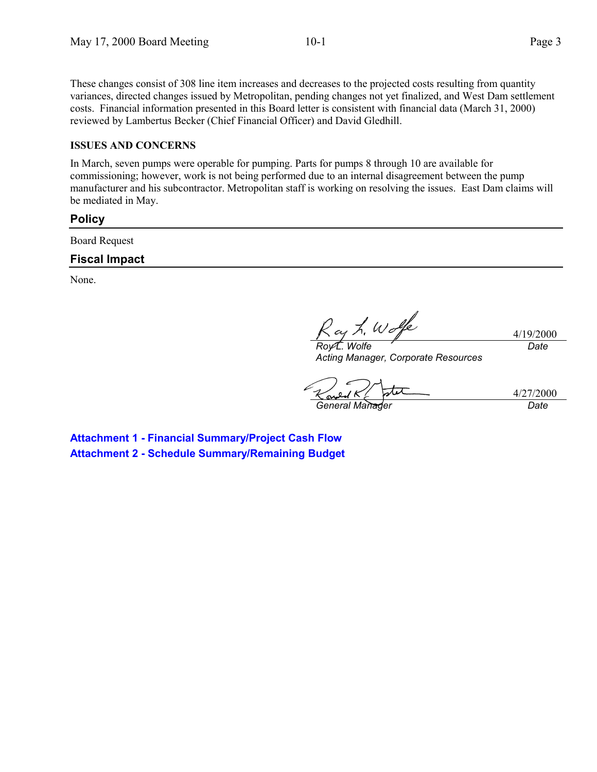These changes consist of 308 line item increases and decreases to the projected costs resulting from quantity variances, directed changes issued by Metropolitan, pending changes not yet finalized, and West Dam settlement costs. Financial information presented in this Board letter is consistent with financial data (March 31, 2000) reviewed by Lambertus Becker (Chief Financial Officer) and David Gledhill.

#### **ISSUES AND CONCERNS**

In March, seven pumps were operable for pumping. Parts for pumps 8 through 10 are available for commissioning; however, work is not being performed due to an internal disagreement between the pump manufacturer and his subcontractor. Metropolitan staff is working on resolving the issues. East Dam claims will be mediated in May.

#### **Policy**

Board Request

#### **Fiscal Impact**

None.

ay h. Wolfe

4/19/2000 *Date*

*Roy L. Wolfe Acting Manager, Corporate Resources*

*General Manager Date*

4/27/2000

**Attachment 1 - Financial Summary/Project Cash Flow Attachment 2 - Schedule Summary/Remaining Budget**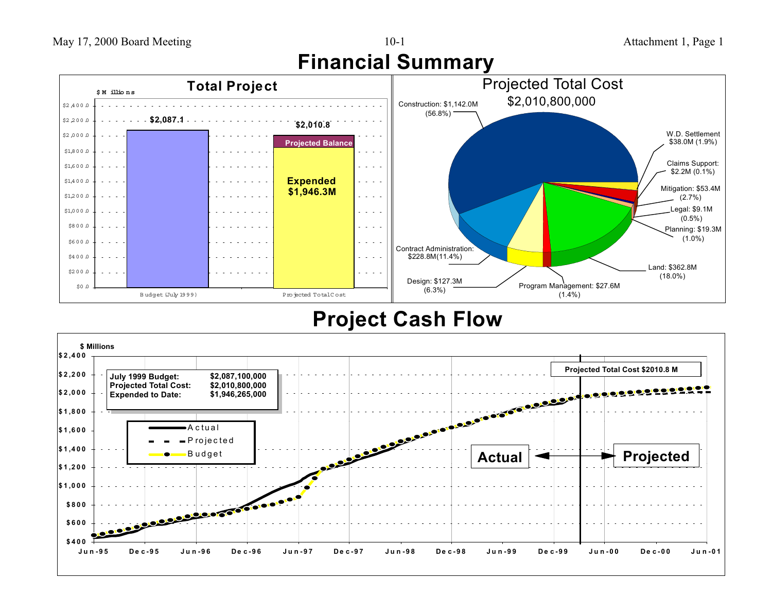





## **Project Cash Flow**